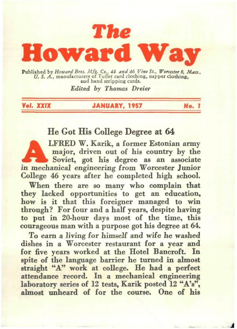

Published by *Howard Bros. Mfg. Co.; 44 and 46 Vine St., Worcester 8, Mass., U. S. A., manufacturers of Tutter card clothing, napper clothing,* 

*Edited by Thomas Dreier* 

*Vol.* **XXIX JANUARY, 1957 No. J** 

#### He Got His College Degree at 64

LFRED W. Karik, a former Estonian army major, driven out of his country by the Soviet, got his degree as an associate in mechanical engineering from Worcester Junior College 46 years after he completed high school.

When there are so many who complain that they lacked opportunities to get an education, how is it that this foreigner managed to win through? For four and a half years, despite having to put in 20-hour days most of the time, this courageous man with a purpose got his degree at 64.

To earn a living for himself and wife he washed dishes in a Worcester restaurant for a year and for five years worked at the Hotel Bancroft. In spite of the language harrier he turned in almost straight "A" work at college. He had a perfect attendance record. In a mechanical engineering laboratory series of 12 tests, Karik posted 12 "A's", almost unheard of for the course. One of his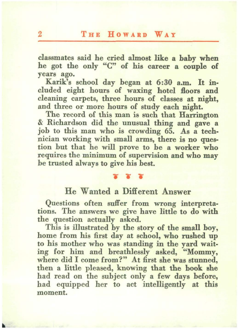#### 2 THE HOWARD WAY

classmates said he cried almost like a baby when he got the only "C" of his career a couple of years ago.

Karik's school day began at 6:30 a.m. It ineluded eight hours of waxing hotel floors and cleaning carpets, three hours of classes at night, and three or more hours of study each night.

The record of this man is such that Harrington & Richardson did the unusual thing and gave a iob to this man who is crowding 65. As a technician working with small arms, there is no question but that he will prove to be a worker who requires the minimum of supervision and who may be trusted always to give his best.

#### $\sim$   $\sim$

#### He Wanted a Different Answer

Questions often suffer from wrong interpretations. The answers we give have little to do with the question actually asked.

This is illustrated by the story of the small boy, home from his first day at school, who rushed up to his mother who was standing in the yard waiting for him and breathlessly asked, "Mommy, where did I come from?" At first she was stunned, then a little pleased, knowing that the book she had read on the subject only a few days before, had equipped her to act intelligently at this moment.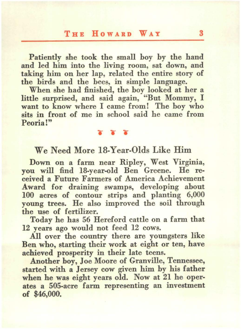#### **THE HowARD WAY** 3

Patiently she took the small boy by the hand and led him into the living room, sat down, and taking him on her lap, related the entire story of the birds and the bees, in simple language.

When she had finished, the boy looked at her a little surprised, and said again, "But Mommy, I want to know where I came from! The boy who sits in front of me in school said he came from Peoria!"

#### We Need More 18-Year-Olds Like Him

 $\begin{array}{c} \nabla \cdot \nabla \cdot \nabla \cdot \nabla \cdot \nabla \cdot \nabla \cdot \nabla \cdot \nabla \cdot \nabla \cdot \nabla \cdot \nabla \cdot \nabla \cdot \nabla \cdot \nabla \cdot \nabla \cdot \nabla \cdot \nabla \cdot \nabla \cdot \nabla \cdot \nabla \cdot \nabla \cdot \nabla \cdot \nabla \cdot \nabla \cdot \nabla \cdot \nabla \cdot \nabla \cdot \nabla \cdot \nabla \cdot \nabla \cdot \nabla \cdot \nabla \cdot \nabla \cdot \nabla \cdot \nabla \cdot \nab$ 

Down on a farm near Ripley, West Virginia, you will find 18-year-old Ben Greene. He re· ceived a Future Farmers of America Achievement Award for draining swamps, developing about 100 acres of contour strips and planting 6,000 young trees. He also improved the soil through the use of fertilizer.

Today he has 56 Hereford cattle on a farm that 12 years ago would not feed 12 cows.

All over the country there are youngsters like Ben who, starting their work at eight or ten, have achieved prosperity in their late teens.

Another boy, Joe Moore of Granville, Tennessee, started with a Jersey cow given him by his father when he was eight years old. Now at 21 he oper· ates a 505-acre farm representing an investment of \$46,000.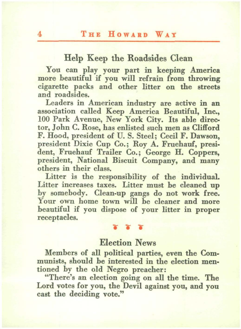#### Help Keep the Roadsides Clean

You can play your part in keeping America more beautiful if you will refrain from throwing cigarette packs and other litter on the streets and roadsides.

Leaders in American industry are active in an association called Keep America Beautiful, Inc., 100 Park Avenue, New York City. Its able director, John C. Rose, has enlisted such men as Clifford F. Hood, president of U.S. Steel; Cecil F. Dawson, president Dixie Cup Co.; Roy A. Fruehauf, president, Fruehauf Trailer Co.; George H. Coppers, president, National Biscuit Company, and many others in their class.

Litter is the responsibility of the individual. Litter increases taxes. Litter must he cleaned up hy somebody. Clean-up gangs do not work free. Your own home town will be cleaner and more beautiful if you dispose of your litter in proper receptacles.

#### $\gamma$   $\gamma$

#### Election News

Members of all political parties, even the Communists, should he interested in the election mentioned hy the old Negro preacher:

"There's an election going on all the time. The Lord votes for you, the Devil against you, and you cast the deciding vote."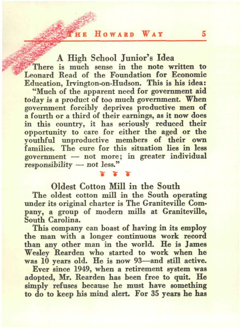**HE HOWARD WAY** 5

A High School Junior's Idea

There is much sense in the note written to Leonard Read of the Foundation for Economic Education, Irvington-on-Hudson. This is his idea:

"Much of the apparent need for government aid today is a product of too much government. When government forcibly deprives productive men of a fourth or a third of their earnings, as it now does in this country, it has seriously reduced their opportunity to care for either the aged or the youthful unproductive members of their own families. The cure for this situation lies in less  $goverment$  - not more; in greater individual  $r_{\text{esponsibility}} - \text{not less."}$ 

### **XXX** Oldest Cotton Mill in the South

The oldest cotton mill in the South operating under its original charter is The Graniteville Company, a group of modern mills at Graniteville, South Carolina.

This company can boast of having in its employ the man with a longer continuous work record than any other man in the world. He is James Wesley Rearden who started to work when he was 10 years old. He is now 93-and still active.

Ever since 1949, when a retirement system was adopted, Mr. Rearden has been free to quit. He simply refuses because he must have something to do to keep his mind alert. For 35 years he has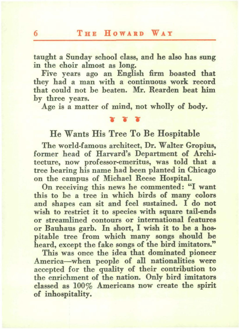taught a Sunday school class, and he also has sung in the choir almost as long.

Five years ago an English firm boasted that they had a man with a continuous work record that could not be beaten. Mr. Rearden beat him by three years.

Age is a matter of mind, not wholly of body.

#### $\mathbf{r}$  ...

#### He Wants His Tree To Be Hospitable

The world-famous architect, Dr. Walter Gropius, former head of Harvard's Department of Architecture, now professor-emeritus, was told that a tree hearing his name had been planted in Chicago on the campus of Michael Reese Hospital.

On receiving this news he commented: "I want this to be a tree in which birds of many colors and shapes can sit and feel sustained. I do not wish to restrict it to species with square tail-ends or streamlined contours or international features or Bauhaus garb. In short, I wish it to be a hospitable tree from which many songs should be heard, except the fake songs of the bird imitators."

This was once the idea that dominated pioneer America-when people of all nationalities were accepted for the quality of their contribution to the enrichment of the nation. Only bird imitators classed as 100% Americans now create the spirit of inhospitality.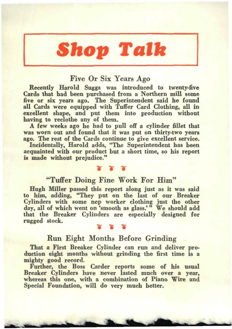# **Shop Talk**

#### Five Or Six Years Ago

Recently Harold Suggs was introduced to twenty-five Cards that had been purchased from a Northern mill some five or six years ago. The Superintendent said he found all Cards were equipped with Tuffer Card Clothing, all in excellent shape, and put them into production without having to reclothe any of them.

A few weeks ago he had to pull off a cylinder fillet that was worn out and found that it was put on thirty-two years ago. The rest of the Cards continue to give excellent service.

Incidentally, Harold adds, "The Superintendent has been acquainted with our product hut a short time, so his report is made without prejudice."

# <sup>~</sup>... ... "Tuffer Doing Fine Work For Him"

Hugh Miller passed this report along just as it was said to him, adding, "They put on the last of our Breaker Cylinders with some nep worker clothing just the other day, all of which went on 'smooth as glass.'" We should add that the Breaker Cylinders are especially designed for rugged stock.

#### Run Eight Months Before Grinding

That a First Breaker Cylinder can run and deliver pro· duction eight months without grinding the first time is a mighty good record.

Further, the Boss Carder reports some of his usual Breaker Cylinders have never lasted much over a year, whereas this one, with a combination of Piano Wire and Special Foundation. will do very much better.